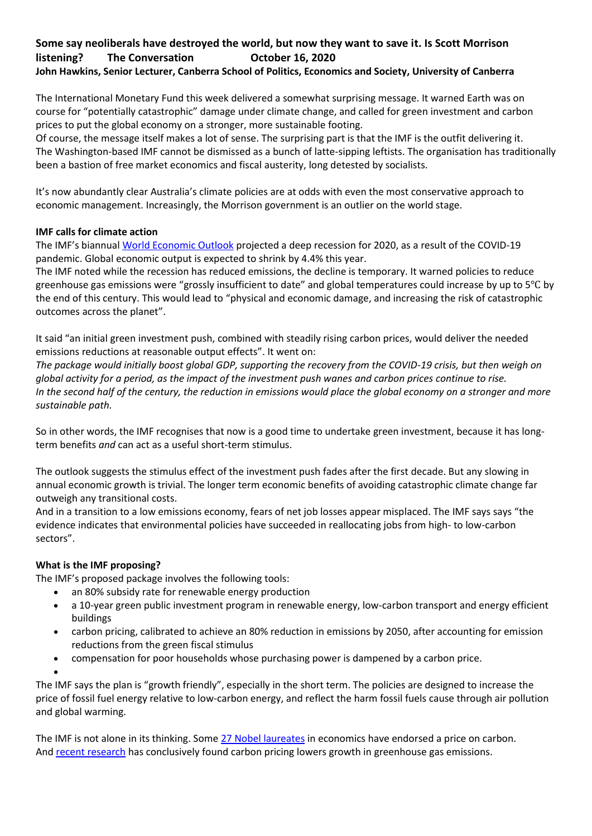# **Some say neoliberals have destroyed the world, but now they want to save it. Is Scott Morrison listening? The Conversation October 16, 2020 John Hawkins, Senior Lecturer, Canberra School of Politics, Economics and Society, University of Canberra**

The International Monetary Fund this week delivered a somewhat surprising message. It warned Earth was on course for "potentially catastrophic" damage under climate change, and called for green investment and carbon prices to put the global economy on a stronger, more sustainable footing.

Of course, the message itself makes a lot of sense. The surprising part is that the IMF is the outfit delivering it. The Washington-based IMF cannot be dismissed as a bunch of latte-sipping leftists. The organisation has traditionally been a bastion of free market economics and fiscal austerity, long detested by socialists.

It's now abundantly clear Australia's climate policies are at odds with even the most conservative approach to economic management. Increasingly, the Morrison government is an outlier on the world stage.

## **IMF calls for climate action**

The IMF's biannual [World Economic Outlook](https://www.imf.org/en/Publications/WEO/Issues/2020/09/30/world-economic-outlook-october-2020) projected a deep recession for 2020, as a result of the COVID-19 pandemic. Global economic output is expected to shrink by 4.4% this year.

The IMF noted while the recession has reduced emissions, the decline is temporary. It warned policies to reduce greenhouse gas emissions were "grossly insufficient to date" and global temperatures could increase by up to 5℃ by the end of this century. This would lead to "physical and economic damage, and increasing the risk of catastrophic outcomes across the planet".

It said "an initial green investment push, combined with steadily rising carbon prices, would deliver the needed emissions reductions at reasonable output effects". It went on:

*The package would initially boost global GDP, supporting the recovery from the COVID-19 crisis, but then weigh on global activity for a period, as the impact of the investment push wanes and carbon prices continue to rise. In the second half of the century, the reduction in emissions would place the global economy on a stronger and more sustainable path.*

So in other words, the IMF recognises that now is a good time to undertake green investment, because it has longterm benefits *and* can act as a useful short-term stimulus.

The outlook suggests the stimulus effect of the investment push fades after the first decade. But any slowing in annual economic growth is trivial. The longer term economic benefits of avoiding catastrophic climate change far outweigh any transitional costs.

And in a transition to a low emissions economy, fears of net job losses appear misplaced. The IMF says says "the evidence indicates that environmental policies have succeeded in reallocating jobs from high- to low-carbon sectors".

## **What is the IMF proposing?**

•

The IMF's proposed package involves the following tools:

- an 80% subsidy rate for renewable energy production
- a 10-year green public investment program in renewable energy, low-carbon transport and energy efficient buildings
- carbon pricing, calibrated to achieve an 80% reduction in emissions by 2050, after accounting for emission reductions from the green fiscal stimulus
- compensation for poor households whose purchasing power is dampened by a carbon price.

The IMF says the plan is "growth friendly", especially in the short term. The policies are designed to increase the price of fossil fuel energy relative to low-carbon energy, and reflect the harm fossil fuels cause through air pollution and global warming.

The IMF is not alone in its thinking. Some [27 Nobel laureates](https://www.ft.com/content/e9fd0472-19de-11e9-9e64-d150b3105d21) in economics have endorsed a price on carbon. And [recent research](https://theconversation.com/carbon-pricing-works-the-largest-ever-study-puts-it-beyond-doubt-142034) has conclusively found carbon pricing lowers growth in greenhouse gas emissions.